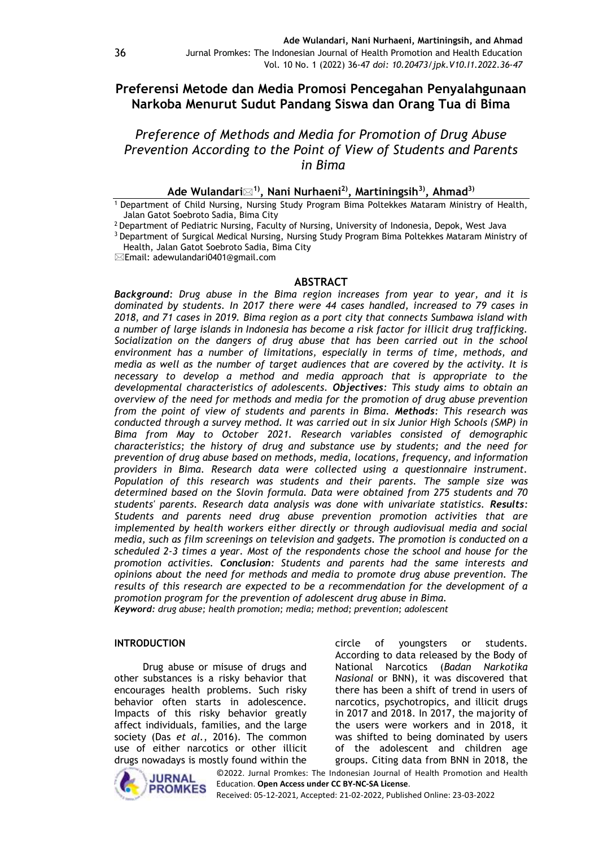# **Preferensi Metode dan Media Promosi Pencegahan Penyalahgunaan Narkoba Menurut Sudut Pandang Siswa dan Orang Tua di Bima**

*Preference of Methods and Media for Promotion of Drug Abuse Prevention According to the Point of View of Students and Parents in Bima*

# **Ade Wulandari1), Nani Nurhaeni2), Martiningsih3) , Ahmad3)**

<sup>1</sup> Department of Child Nursing, Nursing Study Program Bima Poltekkes Mataram Ministry of Health, Jalan Gatot Soebroto Sadia, Bima City

<sup>2</sup> Department of Pediatric Nursing, Faculty of Nursing, University of Indonesia, Depok, West Java

<sup>3</sup> Department of Surgical Medical Nursing, Nursing Study Program Bima Poltekkes Mataram Ministry of Health, Jalan Gatot Soebroto Sadia, Bima City

Email: adewulandari0401@gmail.com

#### **ABSTRACT**

*Background: Drug abuse in the Bima region increases from year to year, and it is dominated by students. In 2017 there were 44 cases handled, increased to 79 cases in 2018, and 71 cases in 2019. Bima region as a port city that connects Sumbawa island with a number of large islands in Indonesia has become a risk factor for illicit drug trafficking. Socialization on the dangers of drug abuse that has been carried out in the school environment has a number of limitations, especially in terms of time, methods, and media as well as the number of target audiences that are covered by the activity. It is necessary to develop a method and media approach that is appropriate to the developmental characteristics of adolescents. Objectives: This study aims to obtain an overview of the need for methods and media for the promotion of drug abuse prevention from the point of view of students and parents in Bima. Methods: This research was conducted through a survey method. It was carried out in six Junior High Schools (SMP) in Bima from May to October 2021. Research variables consisted of demographic characteristics; the history of drug and substance use by students; and the need for prevention of drug abuse based on methods, media, locations, frequency, and information providers in Bima. Research data were collected using a questionnaire instrument. Population of this research was students and their parents. The sample size was determined based on the Slovin formula. Data were obtained from 275 students and 70 students' parents. Research data analysis was done with univariate statistics. Results: Students and parents need drug abuse prevention promotion activities that are implemented by health workers either directly or through audiovisual media and social media, such as film screenings on television and gadgets. The promotion is conducted on a scheduled 2-3 times a year. Most of the respondents chose the school and house for the promotion activities. Conclusion: Students and parents had the same interests and opinions about the need for methods and media to promote drug abuse prevention. The results of this research are expected to be a recommendation for the development of a promotion program for the prevention of adolescent drug abuse in Bima. Keyword: drug abuse; health promotion; media; method; prevention; adolescent*

#### **INTRODUCTION**

Drug abuse or misuse of drugs and other substances is a risky behavior that encourages health problems. Such risky behavior often starts in adolescence. Impacts of this risky behavior greatly affect individuals, families, and the large society (Das *et al.*, 2016). The common use of either narcotics or other illicit drugs nowadays is mostly found within the



circle of youngsters or students. According to data released by the Body of National Narcotics (*Badan Narkotika Nasional* or BNN), it was discovered that there has been a shift of trend in users of narcotics, psychotropics, and illicit drugs in 2017 and 2018. In 2017, the majority of the users were workers and in 2018, it was shifted to being dominated by users of the adolescent and children age groups. Citing data from BNN in 2018, the

©2022. Jurnal Promkes: The Indonesian Journal of Health Promotion and Health Education. **Open Access under CC BY-NC-SA License**.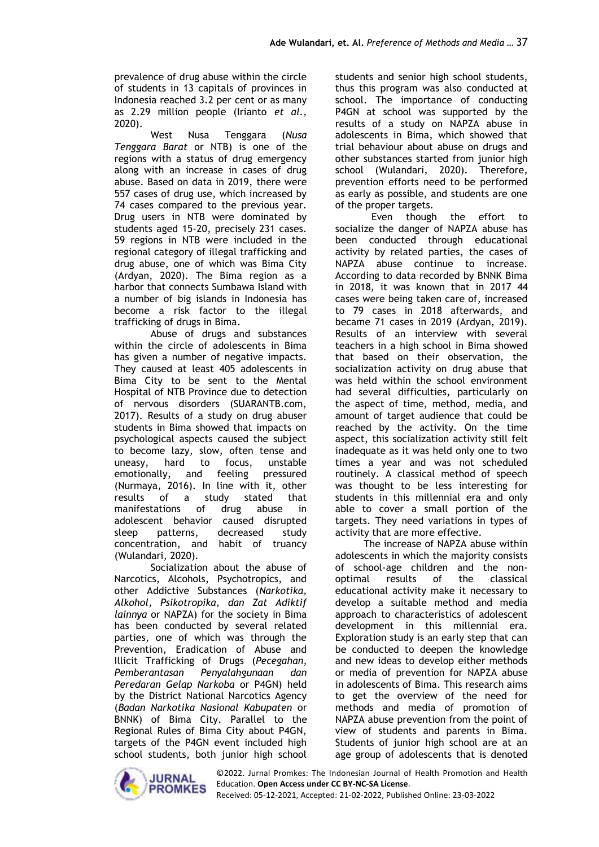prevalence of drug abuse within the circle of students in 13 capitals of provinces in Indonesia reached 3.2 per cent or as many as 2.29 million people (Irianto *et al.,*  2020).

West Nusa Tenggara (*Nusa Tenggara Barat* or NTB) is one of the regions with a status of drug emergency along with an increase in cases of drug abuse. Based on data in 2019, there were 557 cases of drug use, which increased by 74 cases compared to the previous year. Drug users in NTB were dominated by students aged 15-20, precisely 231 cases. 59 regions in NTB were included in the regional category of illegal trafficking and drug abuse, one of which was Bima City (Ardyan, 2020). The Bima region as a harbor that connects Sumbawa Island with a number of big islands in Indonesia has become a risk factor to the illegal trafficking of drugs in Bima.

Abuse of drugs and substances within the circle of adolescents in Bima has given a number of negative impacts. They caused at least 405 adolescents in Bima City to be sent to the Mental Hospital of NTB Province due to detection of nervous disorders (SUARANTB.com, 2017). Results of a study on drug abuser students in Bima showed that impacts on psychological aspects caused the subject to become lazy, slow, often tense and uneasy, hard to focus, unstable emotionally, and feeling pressured (Nurmaya, 2016). In line with it, other results of a study stated that manifestations of drug abuse in adolescent behavior caused disrupted sleep patterns, decreased study concentration, and habit of truancy (Wulandari, 2020).

Socialization about the abuse of Narcotics, Alcohols, Psychotropics, and other Addictive Substances (*Narkotika, Alkohol, Psikotropika, dan Zat Adiktif lainnya* or NAPZA) for the society in Bima has been conducted by several related parties, one of which was through the Prevention, Eradication of Abuse and Illicit Trafficking of Drugs (*Pecegahan*, *Pemberantasan Penyalahgunaan dan Peredaran Gelap Narkoba* or P4GN) held by the District National Narcotics Agency (*Badan Narkotika Nasional Kabupaten* or BNNK) of Bima City. Parallel to the Regional Rules of Bima City about P4GN, targets of the P4GN event included high school students, both junior high school students and senior high school students, thus this program was also conducted at school. The importance of conducting P4GN at school was supported by the results of a study on NAPZA abuse in adolescents in Bima, which showed that trial behaviour about abuse on drugs and other substances started from junior high school (Wulandari, 2020). Therefore, prevention efforts need to be performed as early as possible, and students are one of the proper targets.

Even though the effort to socialize the danger of NAPZA abuse has been conducted through educational activity by related parties, the cases of NAPZA abuse continue to increase. According to data recorded by BNNK Bima in 2018, it was known that in 2017 44 cases were being taken care of, increased to 79 cases in 2018 afterwards, and became 71 cases in 2019 (Ardyan, 2019). Results of an interview with several teachers in a high school in Bima showed that based on their observation, the socialization activity on drug abuse that was held within the school environment had several difficulties, particularly on the aspect of time, method, media, and amount of target audience that could be reached by the activity. On the time aspect, this socialization activity still felt inadequate as it was held only one to two times a year and was not scheduled routinely. A classical method of speech was thought to be less interesting for students in this millennial era and only able to cover a small portion of the targets. They need variations in types of activity that are more effective.

The increase of NAPZA abuse within adolescents in which the majority consists of school-age children and the nonoptimal results of the classical educational activity make it necessary to develop a suitable method and media approach to characteristics of adolescent development in this millennial era. Exploration study is an early step that can be conducted to deepen the knowledge and new ideas to develop either methods or media of prevention for NAPZA abuse in adolescents of Bima. This research aims to get the overview of the need for methods and media of promotion of NAPZA abuse prevention from the point of view of students and parents in Bima. Students of junior high school are at an age group of adolescents that is denoted

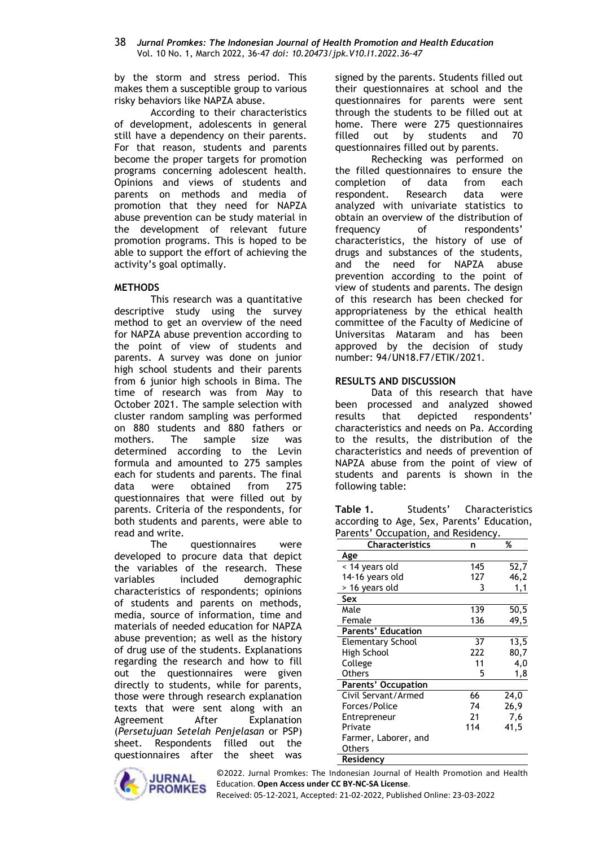by the storm and stress period. This makes them a susceptible group to various risky behaviors like NAPZA abuse.

According to their characteristics of development, adolescents in general still have a dependency on their parents. For that reason, students and parents become the proper targets for promotion programs concerning adolescent health. Opinions and views of students and parents on methods and media of promotion that they need for NAPZA abuse prevention can be study material in the development of relevant future promotion programs. This is hoped to be able to support the effort of achieving the activity's goal optimally.

### **METHODS**

This research was a quantitative descriptive study using the survey method to get an overview of the need for NAPZA abuse prevention according to the point of view of students and parents. A survey was done on junior high school students and their parents from 6 junior high schools in Bima. The time of research was from May to October 2021. The sample selection with cluster random sampling was performed on 880 students and 880 fathers or mothers. The sample size was determined according to the Levin formula and amounted to 275 samples each for students and parents. The final data were obtained from 275 questionnaires that were filled out by parents. Criteria of the respondents, for both students and parents, were able to read and write.

The questionnaires were developed to procure data that depict the variables of the research. These variables included demographic characteristics of respondents; opinions of students and parents on methods, media, source of information, time and materials of needed education for NAPZA abuse prevention; as well as the history of drug use of the students. Explanations regarding the research and how to fill out the questionnaires were given directly to students, while for parents, those were through research explanation texts that were sent along with an Agreement After Explanation (*Persetujuan Setelah Penjelasan* or PSP) sheet. Respondents filled out the questionnaires after the sheet was



signed by the parents. Students filled out their questionnaires at school and the questionnaires for parents were sent through the students to be filled out at home. There were 275 questionnaires filled out by students and 70 questionnaires filled out by parents.

Rechecking was performed on the filled questionnaires to ensure the completion of data from each respondent. Research data were analyzed with univariate statistics to obtain an overview of the distribution of frequency of respondents' characteristics, the history of use of drugs and substances of the students, and the need for NAPZA abuse prevention according to the point of view of students and parents. The design of this research has been checked for appropriateness by the ethical health committee of the Faculty of Medicine of Universitas Mataram and has been approved by the decision of study number: 94/UN18.F7/ETIK/2021.

### **RESULTS AND DISCUSSION**

Data of this research that have been processed and analyzed showed results that depicted respondents' characteristics and needs on Pa. According to the results, the distribution of the characteristics and needs of prevention of NAPZA abuse from the point of view of students and parents is shown in the following table:

Table 1. Students' Characteristics according to Age, Sex, Parents' Education, Parents' Occupation, and Residency.

| <b>Characteristics</b>     | n   | %    |
|----------------------------|-----|------|
| Age                        |     |      |
| < 14 years old             | 145 | 52,7 |
| 14-16 years old            | 127 | 46,2 |
| > 16 years old             | 3   | 1,1  |
| Sex                        |     |      |
| Male                       | 139 | 50,5 |
| Female                     | 136 | 49,5 |
| <b>Parents' Education</b>  |     |      |
| <b>Elementary School</b>   | 37  | 13,5 |
| High School                | 222 | 80,7 |
| College                    | 11  | 4,0  |
| <b>Others</b>              | 5   | 1,8  |
| <b>Parents' Occupation</b> |     |      |
| Civil Servant/Armed        | 66  | 24,0 |
| Forces/Police              | 74  | 26,9 |
| Entrepreneur               | 21  | 7,6  |
| Private                    | 114 | 41,5 |
| Farmer, Laborer, and       |     |      |
| Others                     |     |      |
| Residency                  |     |      |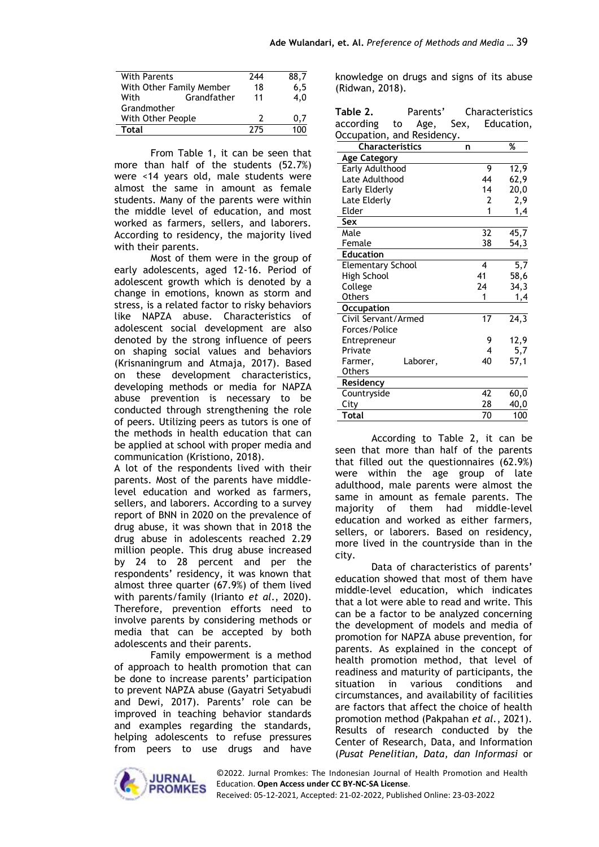| With Parents             |             | 244 | 88.7 |
|--------------------------|-------------|-----|------|
| With Other Family Member |             | 18  | 6.5  |
| With                     | Grandfather | 11  | 4.0  |
| Grandmother              |             |     |      |
| With Other People        |             | 2   | 0.7  |
| Total                    |             | 275 |      |

From Table 1, it can be seen that more than half of the students (52.7%) were <14 years old, male students were almost the same in amount as female students. Many of the parents were within the middle level of education, and most worked as farmers, sellers, and laborers. According to residency, the majority lived with their parents.

Most of them were in the group of early adolescents, aged 12-16. Period of adolescent growth which is denoted by a change in emotions, known as storm and stress, is a related factor to risky behaviors like NAPZA abuse. Characteristics of adolescent social development are also denoted by the strong influence of peers on shaping social values and behaviors (Krisnaningrum and Atmaja, 2017). Based on these development characteristics, developing methods or media for NAPZA abuse prevention is necessary to be conducted through strengthening the role of peers. Utilizing peers as tutors is one of the methods in health education that can be applied at school with proper media and communication (Kristiono, 2018).

A lot of the respondents lived with their parents. Most of the parents have middlelevel education and worked as farmers, sellers, and laborers. According to a survey report of BNN in 2020 on the prevalence of drug abuse, it was shown that in 2018 the drug abuse in adolescents reached 2.29 million people. This drug abuse increased by 24 to 28 percent and per the respondents' residency, it was known that almost three quarter (67.9%) of them lived with parents/family (Irianto *et al*., 2020). Therefore, prevention efforts need to involve parents by considering methods or media that can be accepted by both adolescents and their parents.

Family empowerment is a method of approach to health promotion that can be done to increase parents' participation to prevent NAPZA abuse (Gayatri Setyabudi and Dewi, 2017). Parents' role can be improved in teaching behavior standards and examples regarding the standards, helping adolescents to refuse pressures from peers to use drugs and have knowledge on drugs and signs of its abuse (Ridwan, 2018).

| Table 2.                 | Parents'                   |      |                 | Characteristics   |
|--------------------------|----------------------------|------|-----------------|-------------------|
| according                | to<br>Age,                 | Sex, |                 | Education,        |
|                          | Occupation, and Residency. |      |                 |                   |
|                          | <b>Characteristics</b>     | n    |                 | %                 |
| <b>Age Category</b>      |                            |      |                 |                   |
| Early Adulthood          |                            |      | 9               | 12,9              |
| Late Adulthood           |                            |      | 44              | 62,9              |
| Early Elderly            |                            |      | 14              | 20,0              |
| Late Elderly             |                            |      | $\overline{2}$  | 2,9               |
| Elder                    |                            |      | 1               | 1,4               |
| Sex                      |                            |      |                 |                   |
| Male                     |                            |      | 32              | 45,7              |
| Female                   |                            |      | 38              | 54,3              |
| <b>Education</b>         |                            |      |                 |                   |
| <b>Elementary School</b> |                            |      | 4               | 5,7               |
| High School              |                            |      | 41              | 58,6              |
| College                  |                            |      | 24              | 34,3              |
| <b>Others</b>            |                            |      | 1               | 1,4               |
| <b>Occupation</b>        |                            |      |                 |                   |
| Civil Servant/Armed      |                            |      | $\overline{17}$ | $\overline{24,3}$ |
| Forces/Police            |                            |      |                 |                   |
| Entrepreneur             |                            |      | 9               | 12,9              |
| Private                  |                            |      | 4               | 5,7               |
| Farmer,                  | Laborer,                   |      | 40              | 57,1              |
| <b>Others</b>            |                            |      |                 |                   |
| Residency                |                            |      |                 |                   |
| Countryside              |                            |      | 42              | 60,0              |
| City                     |                            |      | 28              | 40,0              |
| Total                    |                            |      | 70              | 100               |

According to Table 2, it can be seen that more than half of the parents that filled out the questionnaires (62.9%) were within the age group of late adulthood, male parents were almost the same in amount as female parents. The majority of them had middle-level education and worked as either farmers, sellers, or laborers. Based on residency, more lived in the countryside than in the city.

Data of characteristics of parents' education showed that most of them have middle-level education, which indicates that a lot were able to read and write. This can be a factor to be analyzed concerning the development of models and media of promotion for NAPZA abuse prevention, for parents. As explained in the concept of health promotion method, that level of readiness and maturity of participants, the situation in various conditions and circumstances, and availability of facilities are factors that affect the choice of health promotion method (Pakpahan *et al.*, 2021). Results of research conducted by the Center of Research, Data, and Information (*Pusat Penelitian, Data, dan Informasi* or

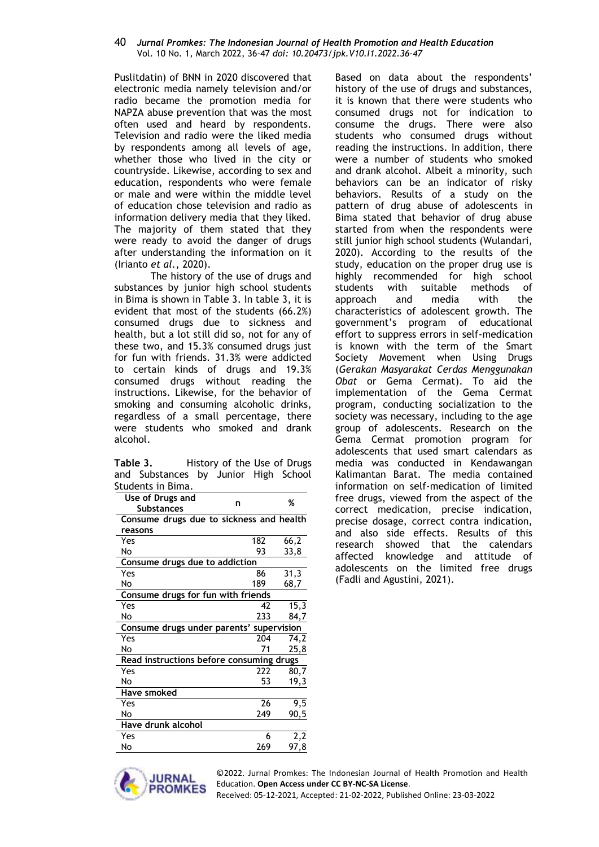Puslitdatin) of BNN in 2020 discovered that electronic media namely television and/or radio became the promotion media for NAPZA abuse prevention that was the most often used and heard by respondents. Television and radio were the liked media by respondents among all levels of age, whether those who lived in the city or countryside. Likewise, according to sex and education, respondents who were female or male and were within the middle level of education chose television and radio as information delivery media that they liked. The majority of them stated that they were ready to avoid the danger of drugs after understanding the information on it (Irianto *et al.*, 2020).

The history of the use of drugs and substances by junior high school students in Bima is shown in Table 3. In table 3, it is evident that most of the students (66.2%) consumed drugs due to sickness and health, but a lot still did so, not for any of these two, and 15.3% consumed drugs just for fun with friends. 31.3% were addicted to certain kinds of drugs and 19.3% consumed drugs without reading the instructions. Likewise, for the behavior of smoking and consuming alcoholic drinks, regardless of a small percentage, there were students who smoked and drank alcohol.

| Table 3. |                                      | History of the Use of Drugs |  |
|----------|--------------------------------------|-----------------------------|--|
|          | and Substances by Junior High School |                             |  |
|          | Students in Bima.                    |                             |  |

| Use of Drugs and<br>n<br><b>Substances</b> |     | %    |  |  |  |
|--------------------------------------------|-----|------|--|--|--|
| Consume drugs due to sickness and health   |     |      |  |  |  |
| reasons                                    |     |      |  |  |  |
| Yes                                        | 182 | 66,2 |  |  |  |
| No                                         | 93  | 33,8 |  |  |  |
| Consume drugs due to addiction             |     |      |  |  |  |
| Yes                                        | 86  | 31,3 |  |  |  |
| No                                         | 189 | 68,7 |  |  |  |
| Consume drugs for fun with friends         |     |      |  |  |  |
| Yes                                        | 42  | 15,3 |  |  |  |
| No                                         | 233 | 84,7 |  |  |  |
| Consume drugs under parents' supervision   |     |      |  |  |  |
| Yes                                        | 204 | 74,2 |  |  |  |
| No                                         | 71  | 25,8 |  |  |  |
| Read instructions before consuming drugs   |     |      |  |  |  |
| Yes                                        | 222 | 80,7 |  |  |  |
| No                                         | 53  | 19,3 |  |  |  |
| <b>Have smoked</b>                         |     |      |  |  |  |
| Yes                                        | 26  | 9,5  |  |  |  |
| No                                         | 249 | 90,5 |  |  |  |
| <b>Have drunk alcohol</b>                  |     |      |  |  |  |
| Yes                                        | 6   | 2,2  |  |  |  |
| No                                         | 269 | 97,8 |  |  |  |

Based on data about the respondents' history of the use of drugs and substances, it is known that there were students who consumed drugs not for indication to consume the drugs. There were also students who consumed drugs without reading the instructions. In addition, there were a number of students who smoked and drank alcohol. Albeit a minority, such behaviors can be an indicator of risky behaviors. Results of a study on the pattern of drug abuse of adolescents in Bima stated that behavior of drug abuse started from when the respondents were still junior high school students (Wulandari, 2020). According to the results of the study, education on the proper drug use is highly recommended for high school students with suitable methods of approach and media with the characteristics of adolescent growth. The government's program of educational effort to suppress errors in self-medication is known with the term of the Smart Society Movement when Using Drugs (*Gerakan Masyarakat Cerdas Menggunakan Obat* or Gema Cermat). To aid the implementation of the Gema Cermat program, conducting socialization to the society was necessary, including to the age group of adolescents. Research on the Gema Cermat promotion program for adolescents that used smart calendars as media was conducted in Kendawangan Kalimantan Barat. The media contained information on self-medication of limited free drugs, viewed from the aspect of the correct medication, precise indication, precise dosage, correct contra indication, and also side effects. Results of this research showed that the calendars affected knowledge and attitude of adolescents on the limited free drugs (Fadli and Agustini, 2021).

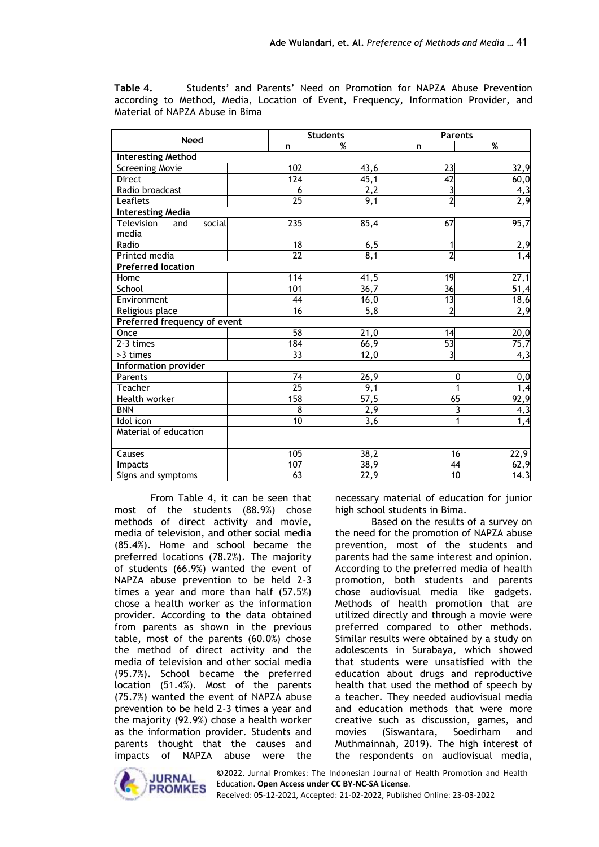**Table 4.** Students' and Parents' Need on Promotion for NAPZA Abuse Prevention according to Method, Media, Location of Event, Frequency, Information Provider, and Material of NAPZA Abuse in Bima

|                                      |  |                 | <b>Students</b>   | <b>Parents</b>          |                          |  |
|--------------------------------------|--|-----------------|-------------------|-------------------------|--------------------------|--|
| <b>Need</b>                          |  | n               | %                 | n                       | $\overline{\mathcal{C}}$ |  |
| <b>Interesting Method</b>            |  |                 |                   |                         |                          |  |
| <b>Screening Movie</b>               |  | 102             | 43,6              | 23                      | 32,9                     |  |
| Direct                               |  | 124             | 45,1              | 42                      | 60,0                     |  |
| Radio broadcast                      |  | 6               | 2,2               | 3                       | 4,3                      |  |
| Leaflets                             |  | $\overline{25}$ | 9,1               | $\overline{2}$          | 2,9                      |  |
| <b>Interesting Media</b>             |  |                 |                   |                         |                          |  |
| Television<br>social<br>and<br>media |  | 235             | 85,4              | 67                      | 95,7                     |  |
| Radio                                |  | 18              | 6, 5              | 1                       | 2,9                      |  |
| Printed media                        |  | $\overline{22}$ | 8,1               | $\overline{2}$          | $\overline{1,4}$         |  |
| <b>Preferred location</b>            |  |                 |                   |                         |                          |  |
| Home                                 |  | 114             | 41,5              | 19                      | $\overline{27,1}$        |  |
| School                               |  | 101             | 36,7              | $\overline{36}$         | $\overline{51,4}$        |  |
| Environment                          |  | 44              | 16,0              | 13                      | 18,6                     |  |
| Religious place                      |  | 16              | 5,8               | $\overline{2}$          | 2,9                      |  |
| Preferred frequency of event         |  |                 |                   |                         |                          |  |
| Once                                 |  | 58              | 21,0              | 14                      | 20,0                     |  |
| 2-3 times                            |  | 184             | 66,9              | $\overline{53}$         | 75,7                     |  |
| >3 times                             |  | $\overline{33}$ | 12,0              | $\overline{\mathbf{3}}$ | 4,3                      |  |
| Information provider                 |  |                 |                   |                         |                          |  |
| Parents                              |  | $\overline{74}$ | 26,9              |                         | 0,0<br>0                 |  |
| Teacher                              |  | 25              | 9,1               |                         | 1,4                      |  |
| Health worker                        |  | 158             | $\overline{57,5}$ | 65                      | 92,9                     |  |
| <b>BNN</b>                           |  | 8               | $\overline{2,9}$  |                         | 4,3                      |  |
| Idol icon                            |  | 10              | 3,6               |                         | 1,4                      |  |
| Material of education                |  |                 |                   |                         |                          |  |
|                                      |  |                 |                   |                         |                          |  |
| Causes                               |  | 105             | 38,2              | 16                      | 22,9                     |  |
| Impacts                              |  | 107             | 38,9              | 44                      | 62,9                     |  |
| Signs and symptoms                   |  | 63              | 22,9              | 10 <sup>1</sup>         | 14.3                     |  |

From Table 4, it can be seen that most of the students (88.9%) chose methods of direct activity and movie, media of television, and other social media (85.4%). Home and school became the preferred locations (78.2%). The majority of students (66.9%) wanted the event of NAPZA abuse prevention to be held 2-3 times a year and more than half (57.5%) chose a health worker as the information provider. According to the data obtained from parents as shown in the previous table, most of the parents (60.0%) chose the method of direct activity and the media of television and other social media (95.7%). School became the preferred location (51.4%). Most of the parents (75.7%) wanted the event of NAPZA abuse prevention to be held 2-3 times a year and the majority (92.9%) chose a health worker as the information provider. Students and parents thought that the causes and impacts of NAPZA abuse were the necessary material of education for junior high school students in Bima.

Based on the results of a survey on the need for the promotion of NAPZA abuse prevention, most of the students and parents had the same interest and opinion. According to the preferred media of health promotion, both students and parents chose audiovisual media like gadgets. Methods of health promotion that are utilized directly and through a movie were preferred compared to other methods. Similar results were obtained by a study on adolescents in Surabaya, which showed that students were unsatisfied with the education about drugs and reproductive health that used the method of speech by a teacher. They needed audiovisual media and education methods that were more creative such as discussion, games, and movies (Siswantara, Soedirham and Muthmainnah, 2019). The high interest of the respondents on audiovisual media,



©2022. Jurnal Promkes: The Indonesian Journal of Health Promotion and Health Education. **Open Access under CC BY-NC-SA License**.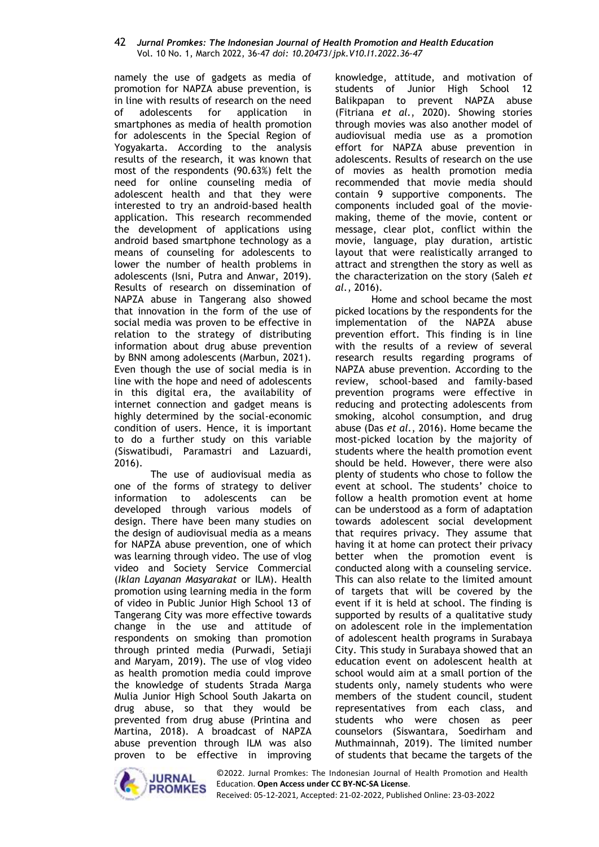namely the use of gadgets as media of promotion for NAPZA abuse prevention, is in line with results of research on the need of adolescents for application in smartphones as media of health promotion for adolescents in the Special Region of Yogyakarta. According to the analysis results of the research, it was known that most of the respondents (90.63%) felt the need for online counseling media of adolescent health and that they were interested to try an android-based health application. This research recommended the development of applications using android based smartphone technology as a means of counseling for adolescents to lower the number of health problems in adolescents (Isni, Putra and Anwar, 2019). Results of research on dissemination of NAPZA abuse in Tangerang also showed that innovation in the form of the use of social media was proven to be effective in relation to the strategy of distributing information about drug abuse prevention by BNN among adolescents (Marbun, 2021). Even though the use of social media is in line with the hope and need of adolescents in this digital era, the availability of internet connection and gadget means is highly determined by the social-economic condition of users. Hence, it is important to do a further study on this variable (Siswatibudi, Paramastri and Lazuardi, 2016).

The use of audiovisual media as one of the forms of strategy to deliver information to adolescents can be developed through various models of design. There have been many studies on the design of audiovisual media as a means for NAPZA abuse prevention, one of which was learning through video. The use of vlog video and Society Service Commercial (*Iklan Layanan Masyarakat* or ILM). Health promotion using learning media in the form of video in Public Junior High School 13 of Tangerang City was more effective towards change in the use and attitude of respondents on smoking than promotion through printed media (Purwadi, Setiaji and Maryam, 2019). The use of vlog video as health promotion media could improve the knowledge of students Strada Marga Mulia Junior High School South Jakarta on drug abuse, so that they would be prevented from drug abuse (Printina and Martina, 2018). A broadcast of NAPZA abuse prevention through ILM was also proven to be effective in improving

knowledge, attitude, and motivation of students of Junior High School 12 Balikpapan to prevent NAPZA abuse (Fitriana *et al.*, 2020). Showing stories through movies was also another model of audiovisual media use as a promotion effort for NAPZA abuse prevention in adolescents. Results of research on the use of movies as health promotion media recommended that movie media should contain 9 supportive components. The components included goal of the moviemaking, theme of the movie, content or message, clear plot, conflict within the movie, language, play duration, artistic layout that were realistically arranged to attract and strengthen the story as well as the characterization on the story (Saleh *et al.*, 2016).

Home and school became the most picked locations by the respondents for the implementation of the NAPZA abuse prevention effort. This finding is in line with the results of a review of several research results regarding programs of NAPZA abuse prevention. According to the review, school-based and family-based prevention programs were effective in reducing and protecting adolescents from smoking, alcohol consumption, and drug abuse (Das *et al.*, 2016). Home became the most-picked location by the majority of students where the health promotion event should be held. However, there were also plenty of students who chose to follow the event at school. The students' choice to follow a health promotion event at home can be understood as a form of adaptation towards adolescent social development that requires privacy. They assume that having it at home can protect their privacy better when the promotion event is conducted along with a counseling service. This can also relate to the limited amount of targets that will be covered by the event if it is held at school. The finding is supported by results of a qualitative study on adolescent role in the implementation of adolescent health programs in Surabaya City. This study in Surabaya showed that an education event on adolescent health at school would aim at a small portion of the students only, namely students who were members of the student council, student representatives from each class, and students who were chosen as peer counselors (Siswantara, Soedirham and Muthmainnah, 2019). The limited number of students that became the targets of the



©2022. Jurnal Promkes: The Indonesian Journal of Health Promotion and Health Education. **Open Access under CC BY-NC-SA License**.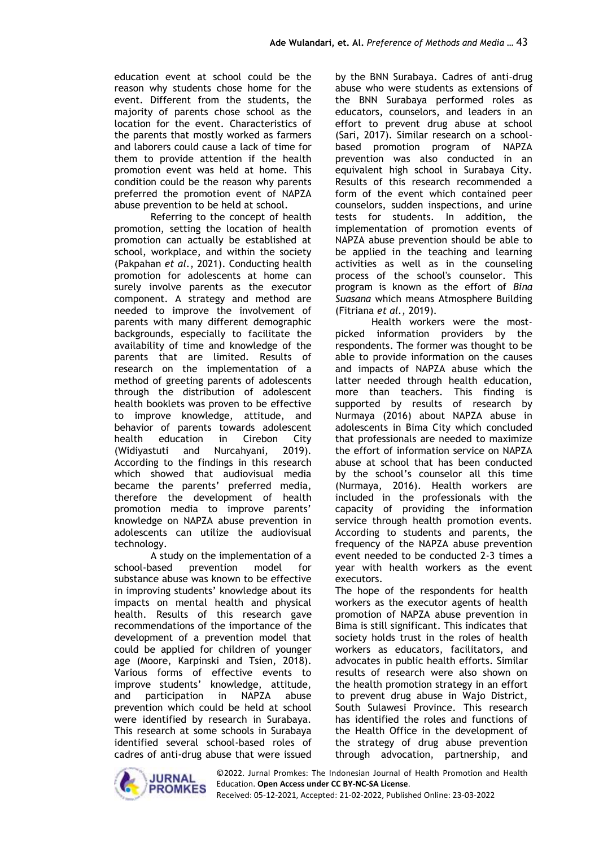education event at school could be the reason why students chose home for the event. Different from the students, the majority of parents chose school as the location for the event. Characteristics of the parents that mostly worked as farmers and laborers could cause a lack of time for them to provide attention if the health promotion event was held at home. This condition could be the reason why parents preferred the promotion event of NAPZA abuse prevention to be held at school.

Referring to the concept of health promotion, setting the location of health promotion can actually be established at school, workplace, and within the society (Pakpahan *et al.*, 2021). Conducting health promotion for adolescents at home can surely involve parents as the executor component. A strategy and method are needed to improve the involvement of parents with many different demographic backgrounds, especially to facilitate the availability of time and knowledge of the parents that are limited. Results of research on the implementation of a method of greeting parents of adolescents through the distribution of adolescent health booklets was proven to be effective to improve knowledge, attitude, and behavior of parents towards adolescent health education in Cirebon City (Widiyastuti and Nurcahyani, 2019). According to the findings in this research which showed that audiovisual media became the parents' preferred media, therefore the development of health promotion media to improve parents' knowledge on NAPZA abuse prevention in adolescents can utilize the audiovisual technology.

A study on the implementation of a school-based prevention model for substance abuse was known to be effective in improving students' knowledge about its impacts on mental health and physical health. Results of this research gave recommendations of the importance of the development of a prevention model that could be applied for children of younger age (Moore, Karpinski and Tsien, 2018). Various forms of effective events to improve students' knowledge, attitude, and participation in NAPZA abuse prevention which could be held at school were identified by research in Surabaya. This research at some schools in Surabaya identified several school-based roles of cadres of anti-drug abuse that were issued by the BNN Surabaya. Cadres of anti-drug abuse who were students as extensions of the BNN Surabaya performed roles as educators, counselors, and leaders in an effort to prevent drug abuse at school (Sari, 2017). Similar research on a schoolbased promotion program of NAPZA prevention was also conducted in an equivalent high school in Surabaya City. Results of this research recommended a form of the event which contained peer counselors, sudden inspections, and urine tests for students. In addition, the implementation of promotion events of NAPZA abuse prevention should be able to be applied in the teaching and learning activities as well as in the counseling process of the school's counselor. This program is known as the effort of *Bina Suasana* which means Atmosphere Building (Fitriana *et al.*, 2019).

Health workers were the mostpicked information providers by the respondents. The former was thought to be able to provide information on the causes and impacts of NAPZA abuse which the latter needed through health education, more than teachers. This finding is supported by results of research by Nurmaya (2016) about NAPZA abuse in adolescents in Bima City which concluded that professionals are needed to maximize the effort of information service on NAPZA abuse at school that has been conducted by the school's counselor all this time (Nurmaya, 2016). Health workers are included in the professionals with the capacity of providing the information service through health promotion events. According to students and parents, the frequency of the NAPZA abuse prevention event needed to be conducted 2-3 times a year with health workers as the event executors.

The hope of the respondents for health workers as the executor agents of health promotion of NAPZA abuse prevention in Bima is still significant. This indicates that society holds trust in the roles of health workers as educators, facilitators, and advocates in public health efforts. Similar results of research were also shown on the health promotion strategy in an effort to prevent drug abuse in Wajo District, South Sulawesi Province. This research has identified the roles and functions of the Health Office in the development of the strategy of drug abuse prevention through advocation, partnership, and

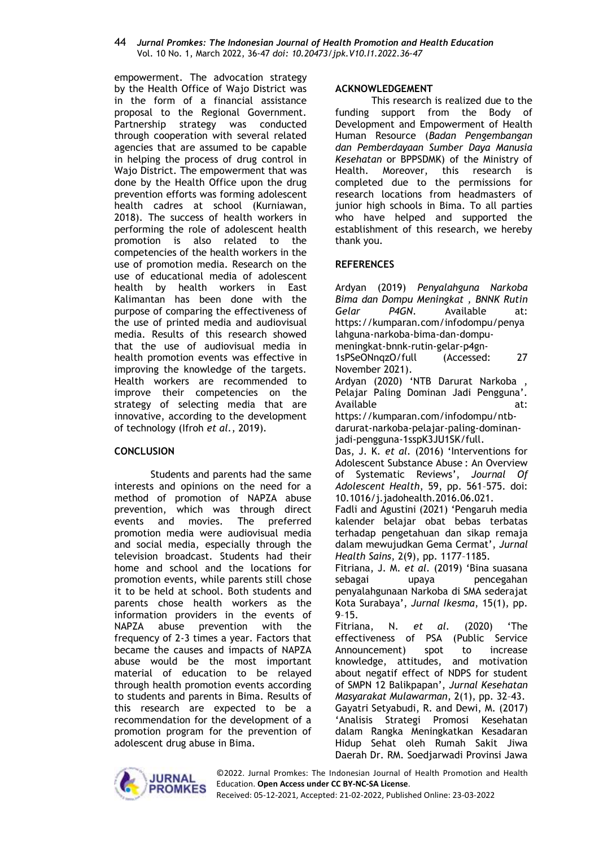empowerment. The advocation strategy by the Health Office of Wajo District was in the form of a financial assistance proposal to the Regional Government. Partnership strategy was conducted through cooperation with several related agencies that are assumed to be capable in helping the process of drug control in Wajo District. The empowerment that was done by the Health Office upon the drug prevention efforts was forming adolescent health cadres at school (Kurniawan, 2018). The success of health workers in performing the role of adolescent health promotion is also related to the competencies of the health workers in the use of promotion media. Research on the use of educational media of adolescent health by health workers in East Kalimantan has been done with the purpose of comparing the effectiveness of the use of printed media and audiovisual media. Results of this research showed that the use of audiovisual media in health promotion events was effective in improving the knowledge of the targets. Health workers are recommended to improve their competencies on the strategy of selecting media that are innovative, according to the development of technology (Ifroh *et al.*, 2019).

### **CONCLUSION**

Students and parents had the same interests and opinions on the need for a method of promotion of NAPZA abuse prevention, which was through direct events and movies. The preferred promotion media were audiovisual media and social media, especially through the television broadcast. Students had their home and school and the locations for promotion events, while parents still chose it to be held at school. Both students and parents chose health workers as the information providers in the events of NAPZA abuse prevention with the frequency of 2-3 times a year. Factors that became the causes and impacts of NAPZA abuse would be the most important material of education to be relayed through health promotion events according to students and parents in Bima. Results of this research are expected to be a recommendation for the development of a promotion program for the prevention of adolescent drug abuse in Bima.

# **ACKNOWLEDGEMENT**

This research is realized due to the funding support from the Body of Development and Empowerment of Health Human Resource (*Badan Pengembangan dan Pemberdayaan Sumber Daya Manusia Kesehatan* or BPPSDMK) of the Ministry of Health. Moreover, this research is completed due to the permissions for research locations from headmasters of junior high schools in Bima. To all parties who have helped and supported the establishment of this research, we hereby thank you.

# **REFERENCES**

Ardyan (2019) *Penyalahguna Narkoba Bima dan Dompu Meningkat , BNNK Rutin Gelar P4GN*. Available at: https://kumparan.com/infodompu/penya lahguna-narkoba-bima-dan-dompumeningkat-bnnk-rutin-gelar-p4gn-1sPSeONnqzO/full (Accessed: 27 November 2021). Ardyan (2020) 'NTB Darurat Narkoba , Pelajar Paling Dominan Jadi Pengguna'. Available at: https://kumparan.com/infodompu/ntbdarurat-narkoba-pelajar-paling-dominanjadi-pengguna-1sspK3JU1SK/full. Das, J. K. *et al.* (2016) 'Interventions for Adolescent Substance Abuse : An Overview of Systematic Reviews', *Journal Of Adolescent Health*, 59, pp. 561–575. doi: 10.1016/j.jadohealth.2016.06.021. Fadli and Agustini (2021) 'Pengaruh media kalender belajar obat bebas terbatas terhadap pengetahuan dan sikap remaja dalam mewujudkan Gema Cermat', *Jurnal Health Sains*, 2(9), pp. 1177–1185. Fitriana, J. M. *et al.* (2019) 'Bina suasana sebagai upaya pencegahan penyalahgunaan Narkoba di SMA sederajat Kota Surabaya', *Jurnal Ikesma*, 15(1), pp. 9–15. Fitriana, N. *et al.* (2020) 'The effectiveness of PSA (Public Service Announcement) spot to increase knowledge, attitudes, and motivation about negatif effect of NDPS for student of SMPN 12 Balikpapan', *Jurnal Kesehatan Masyarakat Mulawarman*, 2(1), pp. 32–43. Gayatri Setyabudi, R. and Dewi, M. (2017) 'Analisis Strategi Promosi Kesehatan dalam Rangka Meningkatkan Kesadaran Hidup Sehat oleh Rumah Sakit Jiwa Daerah Dr. RM. Soedjarwadi Provinsi Jawa

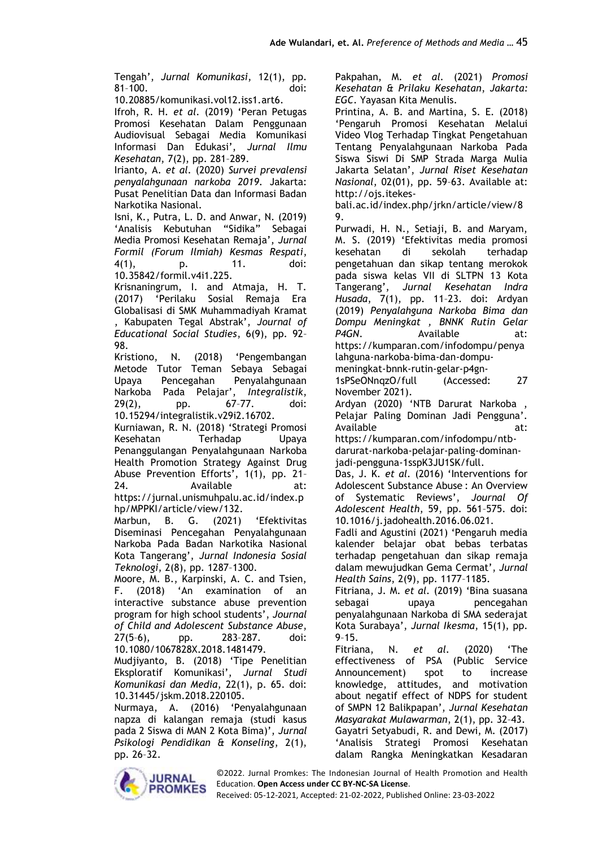Tengah', *Jurnal Komunikasi*, 12(1), pp. 81–100. doi:

10.20885/komunikasi.vol12.iss1.art6.

Ifroh, R. H. *et al.* (2019) 'Peran Petugas Promosi Kesehatan Dalam Penggunaan Audiovisual Sebagai Media Komunikasi Informasi Dan Edukasi', *Jurnal Ilmu Kesehatan*, 7(2), pp. 281–289.

Irianto, A. *et al.* (2020) *Survei prevalensi penyalahgunaan narkoba 2019*. Jakarta: Pusat Penelitian Data dan Informasi Badan Narkotika Nasional.

Isni, K., Putra, L. D. and Anwar, N. (2019) 'Analisis Kebutuhan "Sidika" Sebagai Media Promosi Kesehatan Remaja', *Jurnal Formil (Forum Ilmiah) Kesmas Respati*, 4(1), p. 11. doi: 10.35842/formil.v4i1.225.

Krisnaningrum, I. and Atmaja, H. T. (2017) 'Perilaku Sosial Remaja Era Globalisasi di SMK Muhammadiyah Kramat , Kabupaten Tegal Abstrak', *Journal of Educational Social Studies*, 6(9), pp. 92– 98.

Kristiono, N. (2018) 'Pengembangan Metode Tutor Teman Sebaya Sebagai Upaya Pencegahan Penyalahgunaan Narkoba Pada Pelajar', *Integralistik*, 29(2), pp. 67–77. doi: 10.15294/integralistik.v29i2.16702.

Kurniawan, R. N. (2018) 'Strategi Promosi Kesehatan Terhadap Upaya Penanggulangan Penyalahgunaan Narkoba Health Promotion Strategy Against Drug Abuse Prevention Efforts', 1(1), pp. 21– 24. Available at: https://jurnal.unismuhpalu.ac.id/index.p hp/MPPKI/article/view/132.

Marbun, B. G. (2021) 'Efektivitas Diseminasi Pencegahan Penyalahgunaan Narkoba Pada Badan Narkotika Nasional Kota Tangerang', *Jurnal Indonesia Sosial Teknologi*, 2(8), pp. 1287–1300.

Moore, M. B., Karpinski, A. C. and Tsien, F. (2018) 'An examination of an interactive substance abuse prevention program for high school students', *Journal of Child and Adolescent Substance Abuse*, 27(5–6), pp. 283–287. doi: 10.1080/1067828X.2018.1481479.

Mudjiyanto, B. (2018) 'Tipe Penelitian Eksploratif Komunikasi', *Jurnal Studi Komunikasi dan Media*, 22(1), p. 65. doi: 10.31445/jskm.2018.220105.

Nurmaya, A. (2016) 'Penyalahgunaan napza di kalangan remaja (studi kasus pada 2 Siswa di MAN 2 Kota Bima)', *Jurnal Psikologi Pendidikan & Konseling*, 2(1), pp. 26–32.

Pakpahan, M. *et al.* (2021) *Promosi Kesehatan & Prilaku Kesehatan*, *Jakarta: EGC*. Yayasan Kita Menulis.

Printina, A. B. and Martina, S. E. (2018) 'Pengaruh Promosi Kesehatan Melalui Video Vlog Terhadap Tingkat Pengetahuan Tentang Penyalahgunaan Narkoba Pada Siswa Siswi Di SMP Strada Marga Mulia Jakarta Selatan', *Jurnal Riset Kesehatan Nasional*, 02(01), pp. 59–63. Available at: http://ojs.itekes-

bali.ac.id/index.php/jrkn/article/view/8 9.

Purwadi, H. N., Setiaji, B. and Maryam, M. S. (2019) 'Efektivitas media promosi kesehatan di sekolah terhadap pengetahuan dan sikap tentang merokok pada siswa kelas VII di SLTPN 13 Kota Tangerang', *Jurnal Kesehatan Indra Husada*, 7(1), pp. 11–23. doi: Ardyan (2019) *Penyalahguna Narkoba Bima dan Dompu Meningkat , BNNK Rutin Gelar*  P4GN. Available at: https://kumparan.com/infodompu/penya lahguna-narkoba-bima-dan-dompu-

meningkat-bnnk-rutin-gelar-p4gn-1sPSeONnqzO/full (Accessed: 27 November 2021).

Ardyan (2020) 'NTB Darurat Narkoba , Pelajar Paling Dominan Jadi Pengguna'. Available at:

https://kumparan.com/infodompu/ntbdarurat-narkoba-pelajar-paling-dominanjadi-pengguna-1sspK3JU1SK/full.

Das, J. K. *et al.* (2016) 'Interventions for Adolescent Substance Abuse : An Overview of Systematic Reviews', *Journal Of Adolescent Health*, 59, pp. 561–575. doi: 10.1016/j.jadohealth.2016.06.021.

Fadli and Agustini (2021) 'Pengaruh media kalender belajar obat bebas terbatas terhadap pengetahuan dan sikap remaja dalam mewujudkan Gema Cermat', *Jurnal Health Sains*, 2(9), pp. 1177–1185.

Fitriana, J. M. *et al.* (2019) 'Bina suasana sebagai upaya pencegahan penyalahgunaan Narkoba di SMA sederajat Kota Surabaya', *Jurnal Ikesma*, 15(1), pp. 9–15.

Fitriana, N. *et al.* (2020) 'The effectiveness of PSA (Public Service Announcement) spot to increase knowledge, attitudes, and motivation about negatif effect of NDPS for student of SMPN 12 Balikpapan', *Jurnal Kesehatan Masyarakat Mulawarman*, 2(1), pp. 32–43. Gayatri Setyabudi, R. and Dewi, M. (2017) 'Analisis Strategi Promosi Kesehatan dalam Rangka Meningkatkan Kesadaran

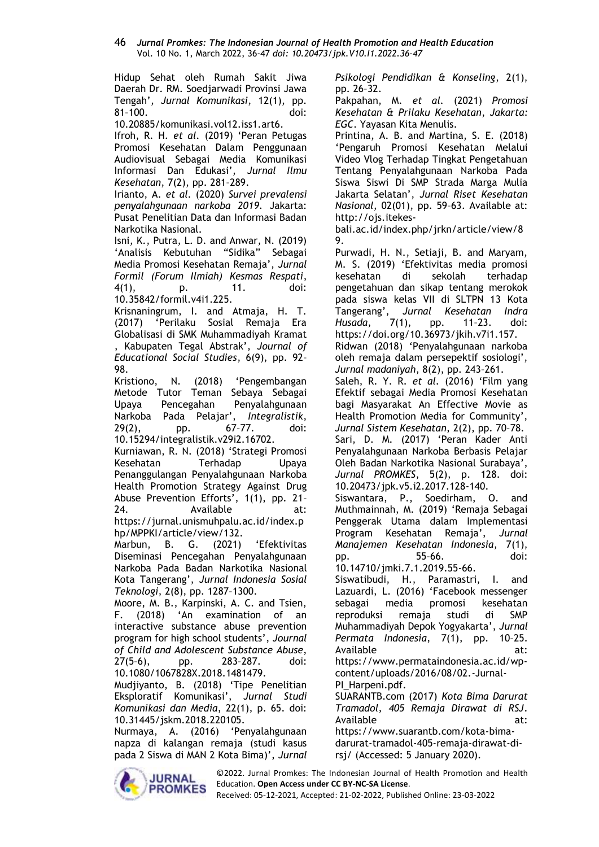Hidup Sehat oleh Rumah Sakit Jiwa Daerah Dr. RM. Soedjarwadi Provinsi Jawa Tengah', *Jurnal Komunikasi*, 12(1), pp. 81–100. doi:

10.20885/komunikasi.vol12.iss1.art6.

Ifroh, R. H. *et al.* (2019) 'Peran Petugas Promosi Kesehatan Dalam Penggunaan Audiovisual Sebagai Media Komunikasi Informasi Dan Edukasi', *Jurnal Ilmu Kesehatan*, 7(2), pp. 281–289.

Irianto, A. *et al.* (2020) *Survei prevalensi penyalahgunaan narkoba 2019*. Jakarta: Pusat Penelitian Data dan Informasi Badan Narkotika Nasional.

Isni, K., Putra, L. D. and Anwar, N. (2019) 'Analisis Kebutuhan "Sidika" Sebagai Media Promosi Kesehatan Remaja', *Jurnal Formil (Forum Ilmiah) Kesmas Respati*, 4(1), p. 11. doi: 10.35842/formil.v4i1.225.

Krisnaningrum, I. and Atmaja, H. T. (2017) 'Perilaku Sosial Remaja Era Globalisasi di SMK Muhammadiyah Kramat , Kabupaten Tegal Abstrak', *Journal of Educational Social Studies*, 6(9), pp. 92– 98.

Kristiono, N. (2018) 'Pengembangan Metode Tutor Teman Sebaya Sebagai Upaya Pencegahan Penyalahgunaan Narkoba Pada Pelajar', *Integralistik*, 29(2), pp. 67–77. doi: 10.15294/integralistik.v29i2.16702.

Kurniawan, R. N. (2018) 'Strategi Promosi Kesehatan Terhadap Upaya Penanggulangan Penyalahgunaan Narkoba Health Promotion Strategy Against Drug Abuse Prevention Efforts', 1(1), pp. 21– 24. Available at: https://jurnal.unismuhpalu.ac.id/index.p

hp/MPPKI/article/view/132.

Marbun, B. G. (2021) 'Efektivitas Diseminasi Pencegahan Penyalahgunaan Narkoba Pada Badan Narkotika Nasional Kota Tangerang', *Jurnal Indonesia Sosial Teknologi*, 2(8), pp. 1287–1300.

Moore, M. B., Karpinski, A. C. and Tsien, F. (2018) 'An examination of an interactive substance abuse prevention program for high school students', *Journal of Child and Adolescent Substance Abuse*, 27(5–6), pp. 283–287. doi: 10.1080/1067828X.2018.1481479.

Mudjiyanto, B. (2018) 'Tipe Penelitian Eksploratif Komunikasi', *Jurnal Studi Komunikasi dan Media*, 22(1), p. 65. doi: 10.31445/jskm.2018.220105.

Nurmaya, A. (2016) 'Penyalahgunaan napza di kalangan remaja (studi kasus pada 2 Siswa di MAN 2 Kota Bima)', *Jurnal*  *Psikologi Pendidikan & Konseling*, 2(1), pp. 26–32.

Pakpahan, M. *et al.* (2021) *Promosi Kesehatan & Prilaku Kesehatan*, *Jakarta: EGC*. Yayasan Kita Menulis.

Printina, A. B. and Martina, S. E. (2018) 'Pengaruh Promosi Kesehatan Melalui Video Vlog Terhadap Tingkat Pengetahuan Tentang Penyalahgunaan Narkoba Pada Siswa Siswi Di SMP Strada Marga Mulia Jakarta Selatan', *Jurnal Riset Kesehatan Nasional*, 02(01), pp. 59–63. Available at: http://ojs.itekes-

bali.ac.id/index.php/jrkn/article/view/8 9.

Purwadi, H. N., Setiaji, B. and Maryam, M. S. (2019) 'Efektivitas media promosi kesehatan di sekolah terhadap pengetahuan dan sikap tentang merokok pada siswa kelas VII di SLTPN 13 Kota<br>Tangerang', Jurnal Kesehatan Indra Jurnal Kesehatan Indra *Husada*, 7(1), pp. 11–23. doi: https://doi.org/10.36973/jkih.v7i1.157. Ridwan (2018) 'Penyalahgunaan narkoba oleh remaja dalam persepektif sosiologi', *Jurnal madaniyah*, 8(2), pp. 243–261.

Saleh, R. Y. R. *et al.* (2016) 'Film yang Efektif sebagai Media Promosi Kesehatan bagi Masyarakat An Effective Movie as Health Promotion Media for Community', *Jurnal Sistem Kesehatan*, 2(2), pp. 70–78. Sari, D. M. (2017) 'Peran Kader Anti Penyalahgunaan Narkoba Berbasis Pelajar

Oleh Badan Narkotika Nasional Surabaya', *Jurnal PROMKES*, 5(2), p. 128. doi: 10.20473/jpk.v5.i2.2017.128-140.

Siswantara, P., Soedirham, O. and Muthmainnah, M. (2019) 'Remaja Sebagai Penggerak Utama dalam Implementasi Program Kesehatan Remaja', *Jurnal Manajemen Kesehatan Indonesia*, 7(1), pp. 55–66. doi: 10.14710/jmki.7.1.2019.55-66.

Siswatibudi, H., Paramastri, I. and Lazuardi, L. (2016) 'Facebook messenger sebagai media promosi kesehatan reproduksi remaja studi di SMP Muhammadiyah Depok Yogyakarta', *Jurnal Permata Indonesia*, 7(1), pp. 10–25. Available at: https://www.permataindonesia.ac.id/wp-

content/uploads/2016/08/02.-Jurnal-

PI\_Harpeni.pdf. SUARANTB.com (2017) *Kota Bima Darurat* 

*Tramadol, 405 Remaja Dirawat di RSJ*. Available at: https://www.suarantb.com/kota-bimadarurat-tramadol-405-remaja-dirawat-di-

rsj/ (Accessed: 5 January 2020).



©2022. Jurnal Promkes: The Indonesian Journal of Health Promotion and Health Education. **Open Access under CC BY-NC-SA License**.